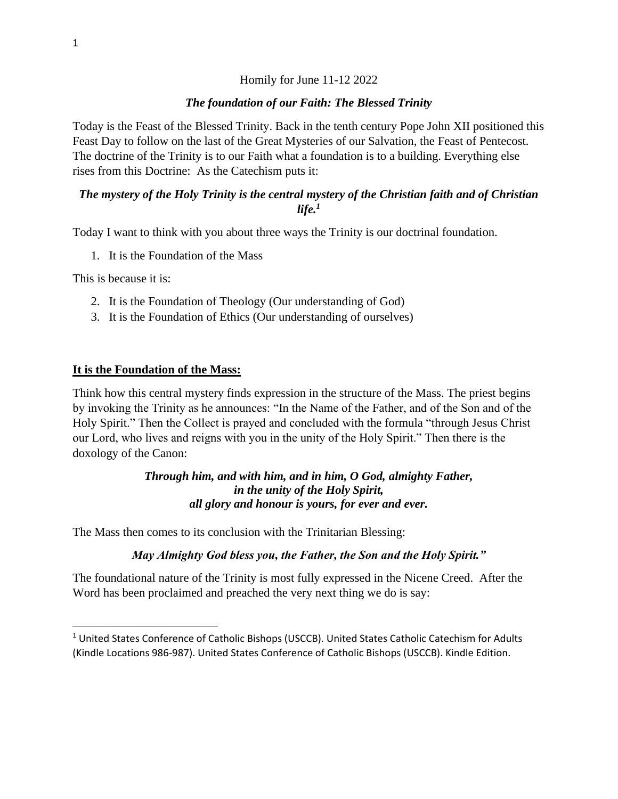#### Homily for June 11-12 2022

#### *The foundation of our Faith: The Blessed Trinity*

Today is the Feast of the Blessed Trinity. Back in the tenth century Pope John XII positioned this Feast Day to follow on the last of the Great Mysteries of our Salvation, the Feast of Pentecost. The doctrine of the Trinity is to our Faith what a foundation is to a building. Everything else rises from this Doctrine: As the Catechism puts it:

#### *The mystery of the Holy Trinity is the central mystery of the Christian faith and of Christian life.<sup>1</sup>*

Today I want to think with you about three ways the Trinity is our doctrinal foundation.

1. It is the Foundation of the Mass

This is because it is:

- 2. It is the Foundation of Theology (Our understanding of God)
- 3. It is the Foundation of Ethics (Our understanding of ourselves)

#### **It is the Foundation of the Mass:**

Think how this central mystery finds expression in the structure of the Mass. The priest begins by invoking the Trinity as he announces: "In the Name of the Father, and of the Son and of the Holy Spirit." Then the Collect is prayed and concluded with the formula "through Jesus Christ our Lord, who lives and reigns with you in the unity of the Holy Spirit." Then there is the doxology of the Canon:

## *Through him, and with him, and in him, O God, almighty Father, in the unity of the Holy Spirit, all glory and honour is yours, for ever and ever.*

The Mass then comes to its conclusion with the Trinitarian Blessing:

#### *May Almighty God bless you, the Father, the Son and the Holy Spirit."*

The foundational nature of the Trinity is most fully expressed in the Nicene Creed. After the Word has been proclaimed and preached the very next thing we do is say:

<sup>&</sup>lt;sup>1</sup> United States Conference of Catholic Bishops (USCCB). United States Catholic Catechism for Adults (Kindle Locations 986-987). United States Conference of Catholic Bishops (USCCB). Kindle Edition.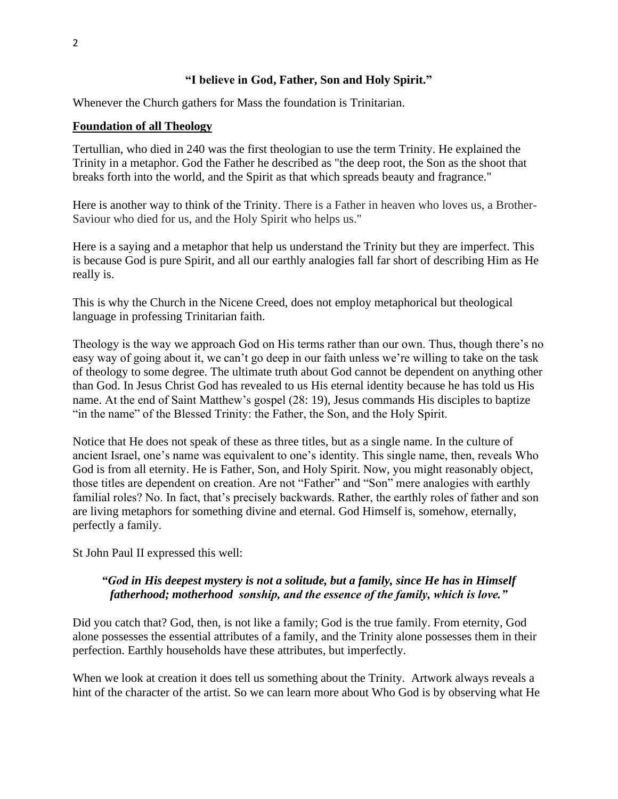## **"I believe in God, Father, Son and Holy Spirit."**

Whenever the Church gathers for Mass the foundation is Trinitarian.

## **Foundation of all Theology**

Tertullian, who died in 240 was the first theologian to use the term Trinity. He explained the Trinity in a metaphor. God the Father he described as "the deep root, the Son as the shoot that breaks forth into the world, and the Spirit as that which spreads beauty and fragrance."

Here is another way to think of the Trinity. There is a Father in heaven who loves us, a Brother-Saviour who died for us, and the Holy Spirit who helps us."

Here is a saying and a metaphor that help us understand the Trinity but they are imperfect. This is because God is pure Spirit, and all our earthly analogies fall far short of describing Him as He really is.

This is why the Church in the Nicene Creed, does not employ metaphorical but theological language in professing Trinitarian faith.

Theology is the way we approach God on His terms rather than our own. Thus, though there's no easy way of going about it, we can't go deep in our faith unless we're willing to take on the task of theology to some degree. The ultimate truth about God cannot be dependent on anything other than God. In Jesus Christ God has revealed to us His eternal identity because he has told us His name. At the end of Saint Matthew's gospel (28: 19), Jesus commands His disciples to baptize "in the name" of the Blessed Trinity: the Father, the Son, and the Holy Spirit.

Notice that He does not speak of these as three titles, but as a single name. In the culture of ancient Israel, one's name was equivalent to one's identity. This single name, then, reveals Who God is from all eternity. He is Father, Son, and Holy Spirit. Now, you might reasonably object, those titles are dependent on creation. Are not "Father" and "Son" mere analogies with earthly familial roles? No. In fact, that's precisely backwards. Rather, the earthly roles of father and son are living metaphors for something divine and eternal. God Himself is, somehow, eternally, perfectly a family.

St John Paul II expressed this well:

## *"God in His deepest mystery is not a solitude, but a family, since He has in Himself fatherhood; motherhood sonship, and the essence of the family, which is love."*

Did you catch that? God, then, is not like a family; God is the true family. From eternity, God alone possesses the essential attributes of a family, and the Trinity alone possesses them in their perfection. Earthly households have these attributes, but imperfectly.

When we look at creation it does tell us something about the Trinity. Artwork always reveals a hint of the character of the artist. So we can learn more about Who God is by observing what He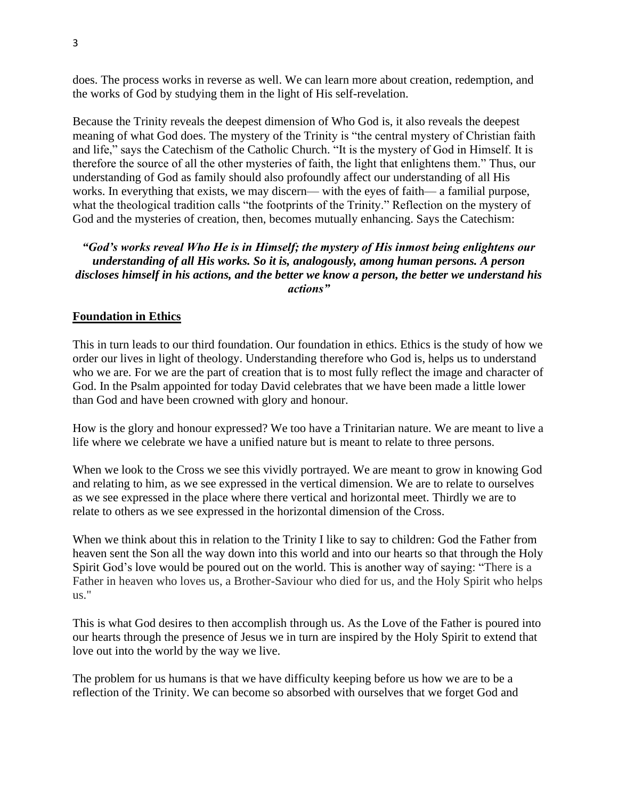does. The process works in reverse as well. We can learn more about creation, redemption, and the works of God by studying them in the light of His self-revelation.

Because the Trinity reveals the deepest dimension of Who God is, it also reveals the deepest meaning of what God does. The mystery of the Trinity is "the central mystery of Christian faith and life," says the Catechism of the Catholic Church. "It is the mystery of God in Himself. It is therefore the source of all the other mysteries of faith, the light that enlightens them." Thus, our understanding of God as family should also profoundly affect our understanding of all His works. In everything that exists, we may discern— with the eyes of faith— a familial purpose, what the theological tradition calls "the footprints of the Trinity." Reflection on the mystery of God and the mysteries of creation, then, becomes mutually enhancing. Says the Catechism:

# *"God's works reveal Who He is in Himself; the mystery of His inmost being enlightens our understanding of all His works. So it is, analogously, among human persons. A person discloses himself in his actions, and the better we know a person, the better we understand his actions"*

## **Foundation in Ethics**

This in turn leads to our third foundation. Our foundation in ethics. Ethics is the study of how we order our lives in light of theology. Understanding therefore who God is, helps us to understand who we are. For we are the part of creation that is to most fully reflect the image and character of God. In the Psalm appointed for today David celebrates that we have been made a little lower than God and have been crowned with glory and honour.

How is the glory and honour expressed? We too have a Trinitarian nature. We are meant to live a life where we celebrate we have a unified nature but is meant to relate to three persons.

When we look to the Cross we see this vividly portrayed. We are meant to grow in knowing God and relating to him, as we see expressed in the vertical dimension. We are to relate to ourselves as we see expressed in the place where there vertical and horizontal meet. Thirdly we are to relate to others as we see expressed in the horizontal dimension of the Cross.

When we think about this in relation to the Trinity I like to say to children: God the Father from heaven sent the Son all the way down into this world and into our hearts so that through the Holy Spirit God's love would be poured out on the world. This is another way of saying: "There is a Father in heaven who loves us, a Brother-Saviour who died for us, and the Holy Spirit who helps us."

This is what God desires to then accomplish through us. As the Love of the Father is poured into our hearts through the presence of Jesus we in turn are inspired by the Holy Spirit to extend that love out into the world by the way we live.

The problem for us humans is that we have difficulty keeping before us how we are to be a reflection of the Trinity. We can become so absorbed with ourselves that we forget God and